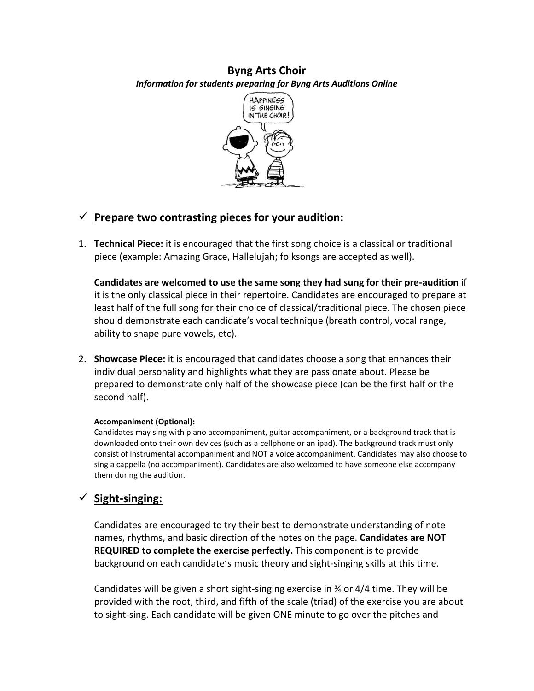### **Byng Arts Choir**  *Information for students preparing for Byng Arts Auditions Online*



# ✓ **Prepare two contrasting pieces for your audition:**

1. **Technical Piece:** it is encouraged that the first song choice is a classical or traditional piece (example: Amazing Grace, Hallelujah; folksongs are accepted as well).

**Candidates are welcomed to use the same song they had sung for their pre-audition** if it is the only classical piece in their repertoire. Candidates are encouraged to prepare at least half of the full song for their choice of classical/traditional piece. The chosen piece should demonstrate each candidate's vocal technique (breath control, vocal range, ability to shape pure vowels, etc).

2. **Showcase Piece:** it is encouraged that candidates choose a song that enhances their individual personality and highlights what they are passionate about. Please be prepared to demonstrate only half of the showcase piece (can be the first half or the second half).

#### **Accompaniment (Optional):**

Candidates may sing with piano accompaniment, guitar accompaniment, or a background track that is downloaded onto their own devices (such as a cellphone or an ipad). The background track must only consist of instrumental accompaniment and NOT a voice accompaniment. Candidates may also choose to sing a cappella (no accompaniment). Candidates are also welcomed to have someone else accompany them during the audition.

# ✓ **Sight-singing:**

Candidates are encouraged to try their best to demonstrate understanding of note names, rhythms, and basic direction of the notes on the page. **Candidates are NOT REQUIRED to complete the exercise perfectly.** This component is to provide background on each candidate's music theory and sight-singing skills at this time.

Candidates will be given a short sight-singing exercise in  $\frac{3}{4}$  or 4/4 time. They will be provided with the root, third, and fifth of the scale (triad) of the exercise you are about to sight-sing. Each candidate will be given ONE minute to go over the pitches and